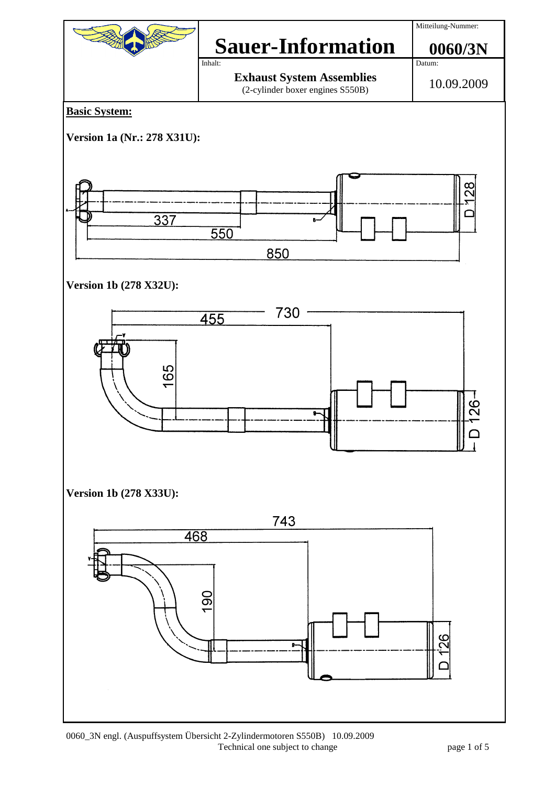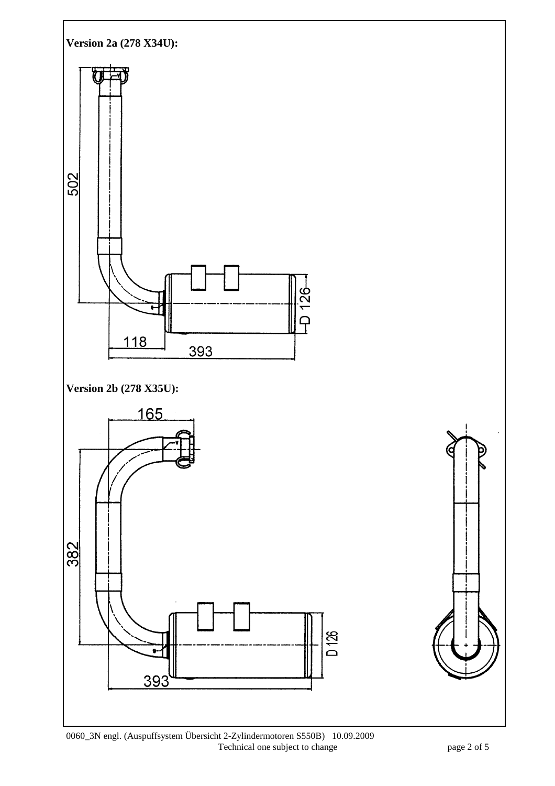

0060\_3N engl. (Auspuffsystem Übersicht 2-Zylindermotoren S550B) 10.09.2009 Technical one subject to change page 2 of 5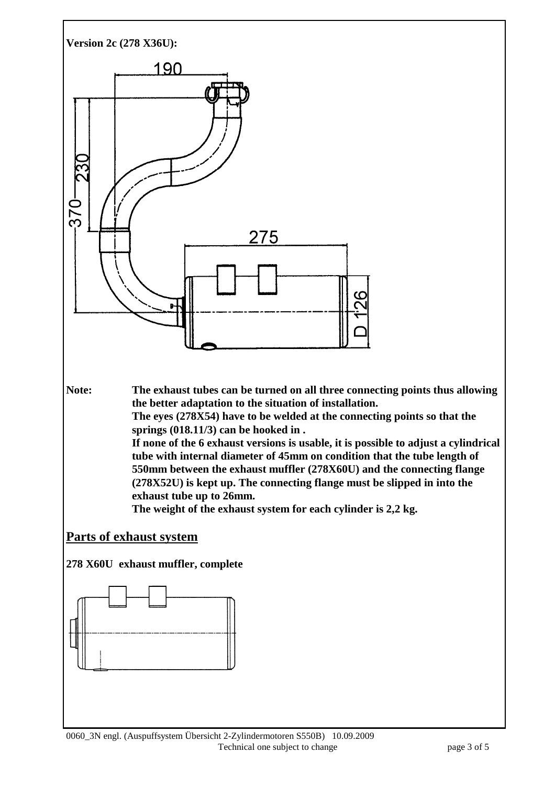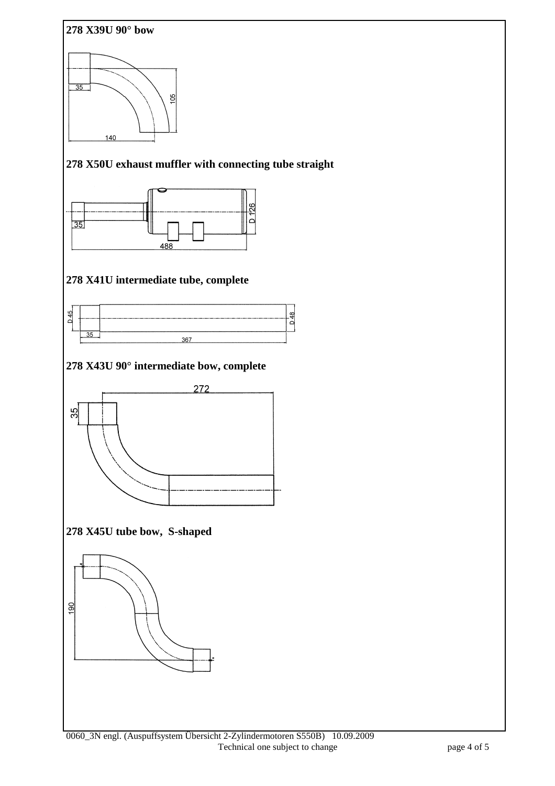